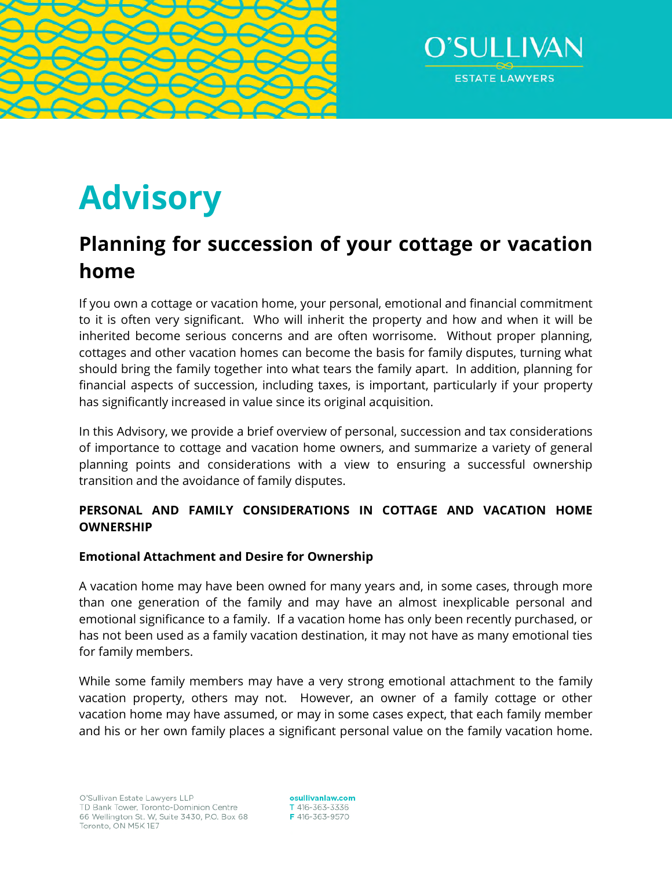



# **Advisory**

# **Planning for succession of your cottage or vacation home**

If you own a cottage or vacation home, your personal, emotional and financial commitment to it is often very significant. Who will inherit the property and how and when it will be inherited become serious concerns and are often worrisome. Without proper planning, cottages and other vacation homes can become the basis for family disputes, turning what should bring the family together into what tears the family apart. In addition, planning for financial aspects of succession, including taxes, is important, particularly if your property has significantly increased in value since its original acquisition.

In this Advisory, we provide a brief overview of personal, succession and tax considerations of importance to cottage and vacation home owners, and summarize a variety of general planning points and considerations with a view to ensuring a successful ownership transition and the avoidance of family disputes.

# **PERSONAL AND FAMILY CONSIDERATIONS IN COTTAGE AND VACATION HOME OWNERSHIP**

# **Emotional Attachment and Desire for Ownership**

A vacation home may have been owned for many years and, in some cases, through more than one generation of the family and may have an almost inexplicable personal and emotional significance to a family. If a vacation home has only been recently purchased, or has not been used as a family vacation destination, it may not have as many emotional ties for family members.

While some family members may have a very strong emotional attachment to the family vacation property, others may not. However, an owner of a family cottage or other vacation home may have assumed, or may in some cases expect, that each family member and his or her own family places a significant personal value on the family vacation home.

osullivanlaw.com T 416-363-3336 F 416-363-9570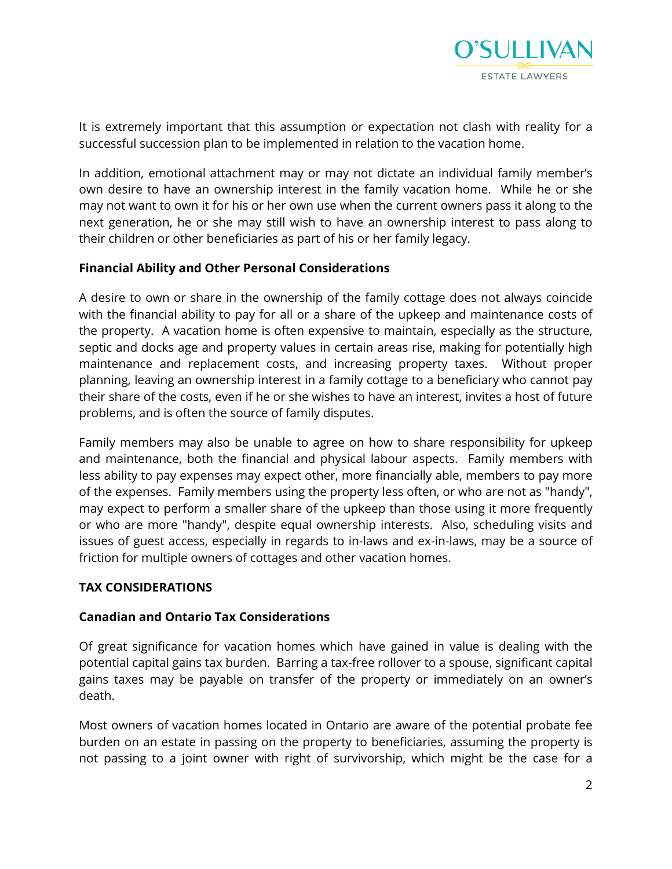

It is extremely important that this assumption or expectation not clash with reality for a successful succession plan to be implemented in relation to the vacation home.

In addition, emotional attachment may or may not dictate an individual family member's own desire to have an ownership interest in the family vacation home. While he or she may not want to own it for his or her own use when the current owners pass it along to the next generation, he or she may still wish to have an ownership interest to pass along to their children or other beneficiaries as part of his or her family legacy.

#### **Financial Ability and Other Personal Considerations**

A desire to own or share in the ownership of the family cottage does not always coincide with the financial ability to pay for all or a share of the upkeep and maintenance costs of the property. A vacation home is often expensive to maintain, especially as the structure, septic and docks age and property values in certain areas rise, making for potentially high maintenance and replacement costs, and increasing property taxes. Without proper planning, leaving an ownership interest in a family cottage to a beneficiary who cannot pay their share of the costs, even if he or she wishes to have an interest, invites a host of future problems, and is often the source of family disputes.

Family members may also be unable to agree on how to share responsibility for upkeep and maintenance, both the financial and physical labour aspects. Family members with less ability to pay expenses may expect other, more financially able, members to pay more of the expenses. Family members using the property less often, or who are not as "handy", may expect to perform a smaller share of the upkeep than those using it more frequently or who are more "handy", despite equal ownership interests. Also, scheduling visits and issues of guest access, especially in regards to in-laws and ex-in-laws, may be a source of friction for multiple owners of cottages and other vacation homes.

#### **TAX CONSIDERATIONS**

#### **Canadian and Ontario Tax Considerations**

Of great significance for vacation homes which have gained in value is dealing with the potential capital gains tax burden. Barring a tax-free rollover to a spouse, significant capital gains taxes may be payable on transfer of the property or immediately on an owner's death.

Most owners of vacation homes located in Ontario are aware of the potential probate fee burden on an estate in passing on the property to beneficiaries, assuming the property is not passing to a joint owner with right of survivorship, which might be the case for a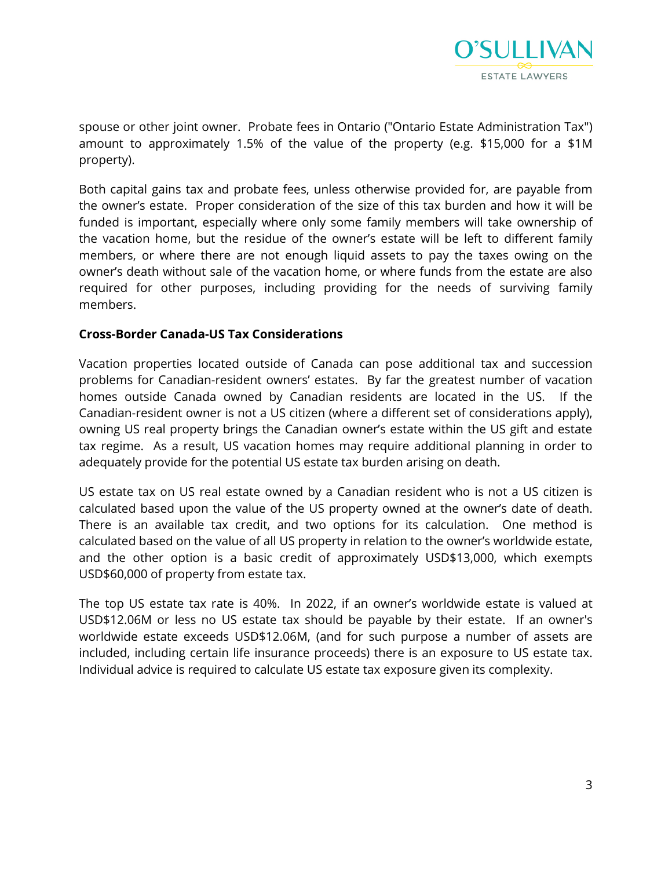

spouse or other joint owner. Probate fees in Ontario ("Ontario Estate Administration Tax") amount to approximately 1.5% of the value of the property (e.g. \$15,000 for a \$1M property).

Both capital gains tax and probate fees, unless otherwise provided for, are payable from the owner's estate. Proper consideration of the size of this tax burden and how it will be funded is important, especially where only some family members will take ownership of the vacation home, but the residue of the owner's estate will be left to different family members, or where there are not enough liquid assets to pay the taxes owing on the owner's death without sale of the vacation home, or where funds from the estate are also required for other purposes, including providing for the needs of surviving family members.

#### **Cross-Border Canada-US Tax Considerations**

Vacation properties located outside of Canada can pose additional tax and succession problems for Canadian-resident owners' estates. By far the greatest number of vacation homes outside Canada owned by Canadian residents are located in the US. If the Canadian-resident owner is not a US citizen (where a different set of considerations apply), owning US real property brings the Canadian owner's estate within the US gift and estate tax regime. As a result, US vacation homes may require additional planning in order to adequately provide for the potential US estate tax burden arising on death.

US estate tax on US real estate owned by a Canadian resident who is not a US citizen is calculated based upon the value of the US property owned at the owner's date of death. There is an available tax credit, and two options for its calculation. One method is calculated based on the value of all US property in relation to the owner's worldwide estate, and the other option is a basic credit of approximately USD\$13,000, which exempts USD\$60,000 of property from estate tax.

The top US estate tax rate is 40%. In 2022, if an owner's worldwide estate is valued at USD\$12.06M or less no US estate tax should be payable by their estate. If an owner's worldwide estate exceeds USD\$12.06M, (and for such purpose a number of assets are included, including certain life insurance proceeds) there is an exposure to US estate tax. Individual advice is required to calculate US estate tax exposure given its complexity.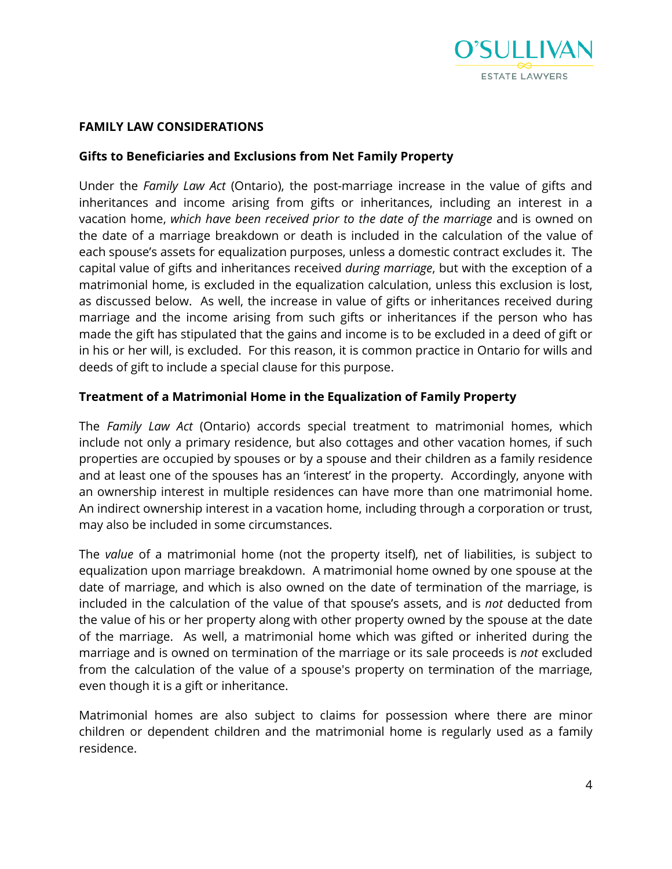

#### **FAMILY LAW CONSIDERATIONS**

#### **Gifts to Beneficiaries and Exclusions from Net Family Property**

Under the *Family Law Act* (Ontario), the post-marriage increase in the value of gifts and inheritances and income arising from gifts or inheritances, including an interest in a vacation home, *which have been received prior to the date of the marriage* and is owned on the date of a marriage breakdown or death is included in the calculation of the value of each spouse's assets for equalization purposes, unless a domestic contract excludes it. The capital value of gifts and inheritances received *during marriage*, but with the exception of a matrimonial home, is excluded in the equalization calculation, unless this exclusion is lost, as discussed below. As well, the increase in value of gifts or inheritances received during marriage and the income arising from such gifts or inheritances if the person who has made the gift has stipulated that the gains and income is to be excluded in a deed of gift or in his or her will, is excluded. For this reason, it is common practice in Ontario for wills and deeds of gift to include a special clause for this purpose.

#### **Treatment of a Matrimonial Home in the Equalization of Family Property**

The *Family Law Act* (Ontario) accords special treatment to matrimonial homes, which include not only a primary residence, but also cottages and other vacation homes, if such properties are occupied by spouses or by a spouse and their children as a family residence and at least one of the spouses has an 'interest' in the property. Accordingly, anyone with an ownership interest in multiple residences can have more than one matrimonial home. An indirect ownership interest in a vacation home, including through a corporation or trust, may also be included in some circumstances.

The *value* of a matrimonial home (not the property itself), net of liabilities, is subject to equalization upon marriage breakdown. A matrimonial home owned by one spouse at the date of marriage, and which is also owned on the date of termination of the marriage, is included in the calculation of the value of that spouse's assets, and is *not* deducted from the value of his or her property along with other property owned by the spouse at the date of the marriage. As well, a matrimonial home which was gifted or inherited during the marriage and is owned on termination of the marriage or its sale proceeds is *not* excluded from the calculation of the value of a spouse's property on termination of the marriage, even though it is a gift or inheritance.

Matrimonial homes are also subject to claims for possession where there are minor children or dependent children and the matrimonial home is regularly used as a family residence.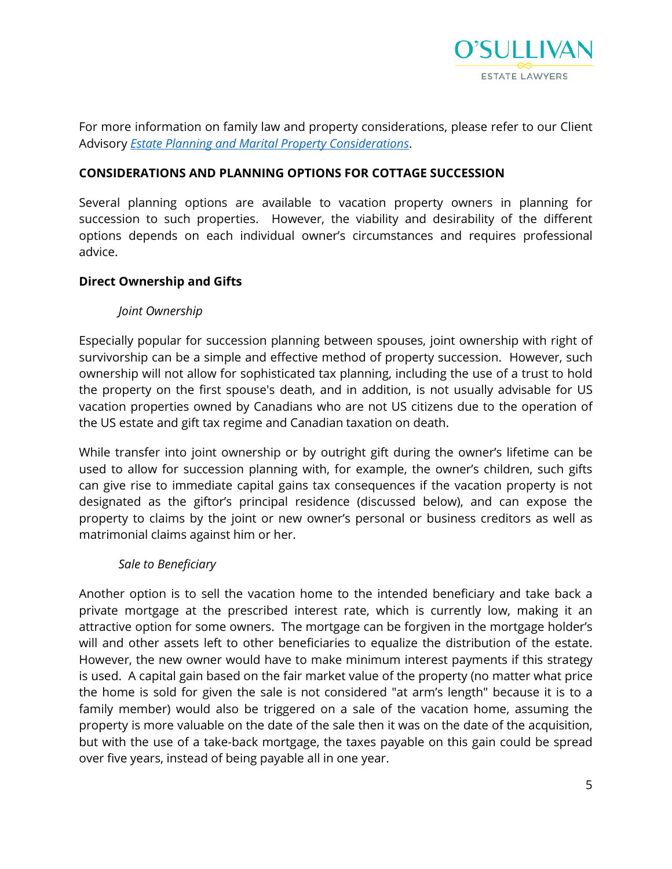

For more information on family law and property considerations, please refer to our Client Advisory *[Estate Planning and Marital Property Considerations](https://www.osullivanlaw.com/wp-content/uploads/2020/02/Estate-Planning-And-Martial-Property-Considerations.pdf)*.

#### **CONSIDERATIONS AND PLANNING OPTIONS FOR COTTAGE SUCCESSION**

Several planning options are available to vacation property owners in planning for succession to such properties. However, the viability and desirability of the different options depends on each individual owner's circumstances and requires professional advice.

#### **Direct Ownership and Gifts**

#### *Joint Ownership*

Especially popular for succession planning between spouses, joint ownership with right of survivorship can be a simple and effective method of property succession. However, such ownership will not allow for sophisticated tax planning, including the use of a trust to hold the property on the first spouse's death, and in addition, is not usually advisable for US vacation properties owned by Canadians who are not US citizens due to the operation of the US estate and gift tax regime and Canadian taxation on death.

While transfer into joint ownership or by outright gift during the owner's lifetime can be used to allow for succession planning with, for example, the owner's children, such gifts can give rise to immediate capital gains tax consequences if the vacation property is not designated as the giftor's principal residence (discussed below), and can expose the property to claims by the joint or new owner's personal or business creditors as well as matrimonial claims against him or her.

#### *Sale to Beneficiary*

Another option is to sell the vacation home to the intended beneficiary and take back a private mortgage at the prescribed interest rate, which is currently low, making it an attractive option for some owners. The mortgage can be forgiven in the mortgage holder's will and other assets left to other beneficiaries to equalize the distribution of the estate. However, the new owner would have to make minimum interest payments if this strategy is used. A capital gain based on the fair market value of the property (no matter what price the home is sold for given the sale is not considered "at arm's length" because it is to a family member) would also be triggered on a sale of the vacation home, assuming the property is more valuable on the date of the sale then it was on the date of the acquisition, but with the use of a take-back mortgage, the taxes payable on this gain could be spread over five years, instead of being payable all in one year.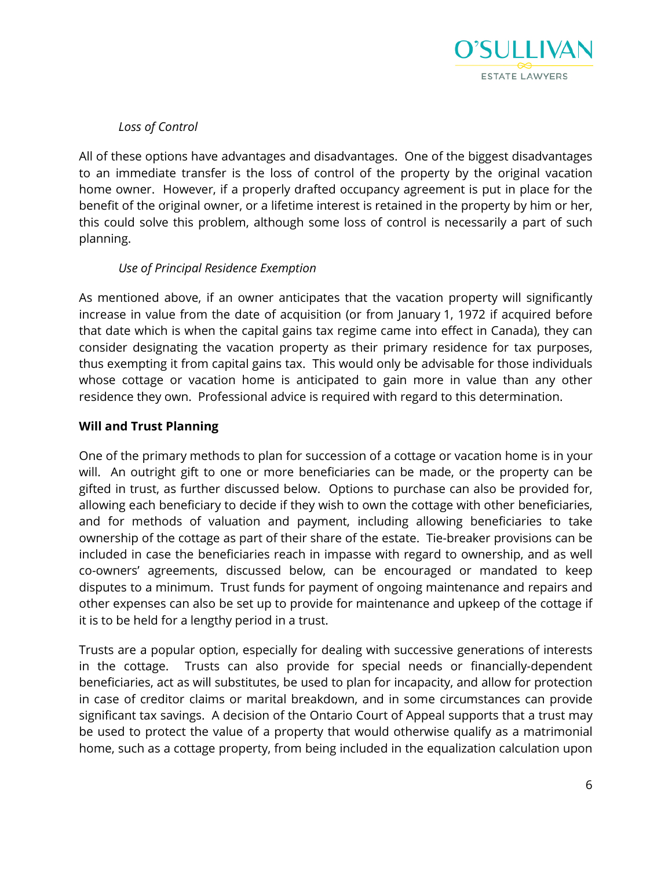

*Loss of Control* 

All of these options have advantages and disadvantages. One of the biggest disadvantages to an immediate transfer is the loss of control of the property by the original vacation home owner. However, if a properly drafted occupancy agreement is put in place for the benefit of the original owner, or a lifetime interest is retained in the property by him or her, this could solve this problem, although some loss of control is necessarily a part of such planning.

# *Use of Principal Residence Exemption*

As mentioned above, if an owner anticipates that the vacation property will significantly increase in value from the date of acquisition (or from January 1, 1972 if acquired before that date which is when the capital gains tax regime came into effect in Canada), they can consider designating the vacation property as their primary residence for tax purposes, thus exempting it from capital gains tax. This would only be advisable for those individuals whose cottage or vacation home is anticipated to gain more in value than any other residence they own. Professional advice is required with regard to this determination.

### **Will and Trust Planning**

One of the primary methods to plan for succession of a cottage or vacation home is in your will. An outright gift to one or more beneficiaries can be made, or the property can be gifted in trust, as further discussed below. Options to purchase can also be provided for, allowing each beneficiary to decide if they wish to own the cottage with other beneficiaries, and for methods of valuation and payment, including allowing beneficiaries to take ownership of the cottage as part of their share of the estate. Tie-breaker provisions can be included in case the beneficiaries reach in impasse with regard to ownership, and as well co-owners' agreements, discussed below, can be encouraged or mandated to keep disputes to a minimum. Trust funds for payment of ongoing maintenance and repairs and other expenses can also be set up to provide for maintenance and upkeep of the cottage if it is to be held for a lengthy period in a trust.

Trusts are a popular option, especially for dealing with successive generations of interests in the cottage. Trusts can also provide for special needs or financially-dependent beneficiaries, act as will substitutes, be used to plan for incapacity, and allow for protection in case of creditor claims or marital breakdown, and in some circumstances can provide significant tax savings. A decision of the Ontario Court of Appeal supports that a trust may be used to protect the value of a property that would otherwise qualify as a matrimonial home, such as a cottage property, from being included in the equalization calculation upon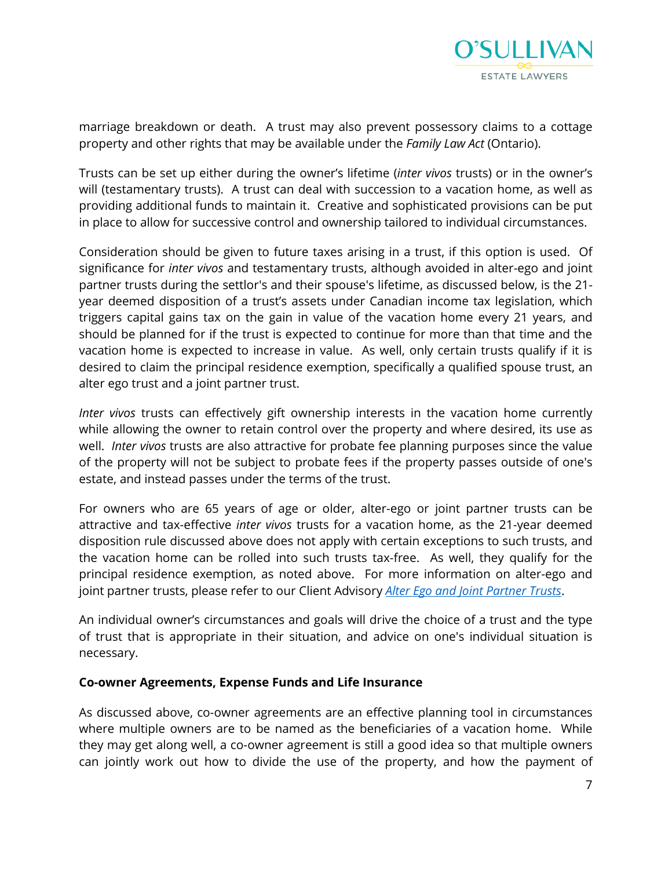

marriage breakdown or death. A trust may also prevent possessory claims to a cottage property and other rights that may be available under the *Family Law Act* (Ontario).

Trusts can be set up either during the owner's lifetime (*inter vivos* trusts) or in the owner's will (testamentary trusts). A trust can deal with succession to a vacation home, as well as providing additional funds to maintain it. Creative and sophisticated provisions can be put in place to allow for successive control and ownership tailored to individual circumstances.

Consideration should be given to future taxes arising in a trust, if this option is used. Of significance for *inter vivos* and testamentary trusts, although avoided in alter-ego and joint partner trusts during the settlor's and their spouse's lifetime, as discussed below, is the 21 year deemed disposition of a trust's assets under Canadian income tax legislation, which triggers capital gains tax on the gain in value of the vacation home every 21 years, and should be planned for if the trust is expected to continue for more than that time and the vacation home is expected to increase in value. As well, only certain trusts qualify if it is desired to claim the principal residence exemption, specifically a qualified spouse trust, an alter ego trust and a joint partner trust.

*Inter vivos* trusts can effectively gift ownership interests in the vacation home currently while allowing the owner to retain control over the property and where desired, its use as well. *Inter vivos* trusts are also attractive for probate fee planning purposes since the value of the property will not be subject to probate fees if the property passes outside of one's estate, and instead passes under the terms of the trust.

For owners who are 65 years of age or older, alter-ego or joint partner trusts can be attractive and tax-effective *inter vivos* trusts for a vacation home, as the 21-year deemed disposition rule discussed above does not apply with certain exceptions to such trusts, and the vacation home can be rolled into such trusts tax-free. As well, they qualify for the principal residence exemption, as noted above. For more information on alter-ego and joint partner trusts, please refer to our Client Advisory *[Alter Ego and Joint Partner Trusts](https://www.osullivanlaw.com/wp-content/uploads/2020/02/Alter-Ego-and-JointPartner-Trusts.pdf)*.

An individual owner's circumstances and goals will drive the choice of a trust and the type of trust that is appropriate in their situation, and advice on one's individual situation is necessary.

#### **Co-owner Agreements, Expense Funds and Life Insurance**

As discussed above, co-owner agreements are an effective planning tool in circumstances where multiple owners are to be named as the beneficiaries of a vacation home. While they may get along well, a co-owner agreement is still a good idea so that multiple owners can jointly work out how to divide the use of the property, and how the payment of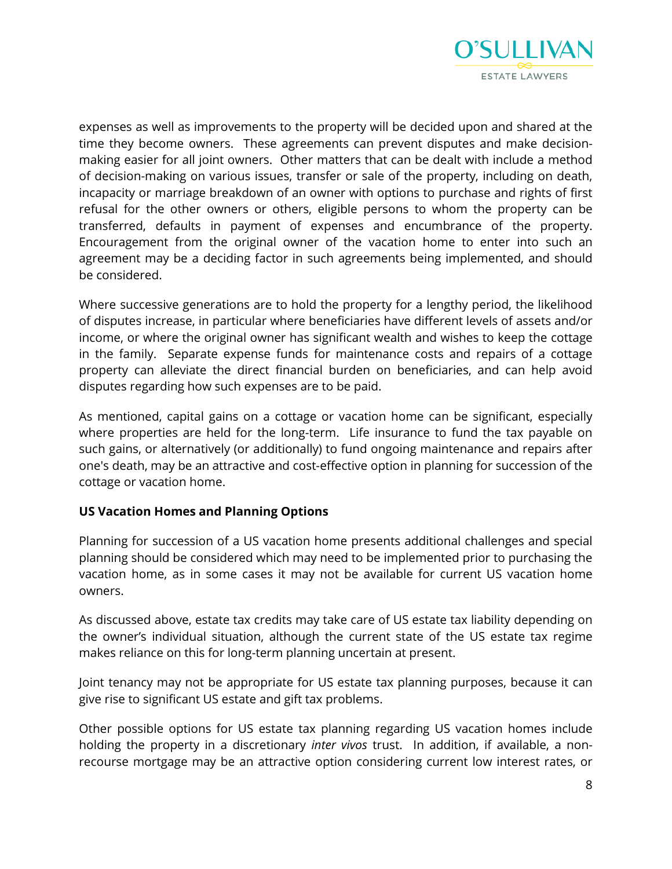

expenses as well as improvements to the property will be decided upon and shared at the time they become owners. These agreements can prevent disputes and make decisionmaking easier for all joint owners. Other matters that can be dealt with include a method of decision-making on various issues, transfer or sale of the property, including on death, incapacity or marriage breakdown of an owner with options to purchase and rights of first refusal for the other owners or others, eligible persons to whom the property can be transferred, defaults in payment of expenses and encumbrance of the property. Encouragement from the original owner of the vacation home to enter into such an agreement may be a deciding factor in such agreements being implemented, and should be considered.

Where successive generations are to hold the property for a lengthy period, the likelihood of disputes increase, in particular where beneficiaries have different levels of assets and/or income, or where the original owner has significant wealth and wishes to keep the cottage in the family. Separate expense funds for maintenance costs and repairs of a cottage property can alleviate the direct financial burden on beneficiaries, and can help avoid disputes regarding how such expenses are to be paid.

As mentioned, capital gains on a cottage or vacation home can be significant, especially where properties are held for the long-term. Life insurance to fund the tax payable on such gains, or alternatively (or additionally) to fund ongoing maintenance and repairs after one's death, may be an attractive and cost-effective option in planning for succession of the cottage or vacation home.

#### **US Vacation Homes and Planning Options**

Planning for succession of a US vacation home presents additional challenges and special planning should be considered which may need to be implemented prior to purchasing the vacation home, as in some cases it may not be available for current US vacation home owners.

As discussed above, estate tax credits may take care of US estate tax liability depending on the owner's individual situation, although the current state of the US estate tax regime makes reliance on this for long-term planning uncertain at present.

Joint tenancy may not be appropriate for US estate tax planning purposes, because it can give rise to significant US estate and gift tax problems.

Other possible options for US estate tax planning regarding US vacation homes include holding the property in a discretionary *inter vivos* trust. In addition, if available, a nonrecourse mortgage may be an attractive option considering current low interest rates, or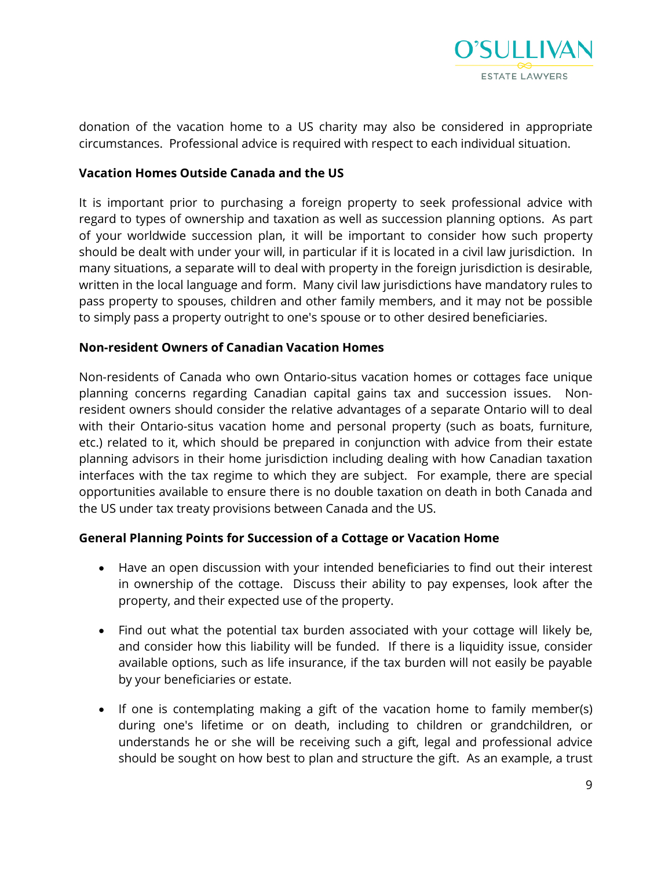

donation of the vacation home to a US charity may also be considered in appropriate circumstances. Professional advice is required with respect to each individual situation.

#### **Vacation Homes Outside Canada and the US**

It is important prior to purchasing a foreign property to seek professional advice with regard to types of ownership and taxation as well as succession planning options. As part of your worldwide succession plan, it will be important to consider how such property should be dealt with under your will, in particular if it is located in a civil law jurisdiction. In many situations, a separate will to deal with property in the foreign jurisdiction is desirable, written in the local language and form. Many civil law jurisdictions have mandatory rules to pass property to spouses, children and other family members, and it may not be possible to simply pass a property outright to one's spouse or to other desired beneficiaries.

#### **Non-resident Owners of Canadian Vacation Homes**

Non-residents of Canada who own Ontario-situs vacation homes or cottages face unique planning concerns regarding Canadian capital gains tax and succession issues. Nonresident owners should consider the relative advantages of a separate Ontario will to deal with their Ontario-situs vacation home and personal property (such as boats, furniture, etc.) related to it, which should be prepared in conjunction with advice from their estate planning advisors in their home jurisdiction including dealing with how Canadian taxation interfaces with the tax regime to which they are subject. For example, there are special opportunities available to ensure there is no double taxation on death in both Canada and the US under tax treaty provisions between Canada and the US.

#### **General Planning Points for Succession of a Cottage or Vacation Home**

- Have an open discussion with your intended beneficiaries to find out their interest in ownership of the cottage. Discuss their ability to pay expenses, look after the property, and their expected use of the property.
- Find out what the potential tax burden associated with your cottage will likely be, and consider how this liability will be funded. If there is a liquidity issue, consider available options, such as life insurance, if the tax burden will not easily be payable by your beneficiaries or estate.
- If one is contemplating making a gift of the vacation home to family member(s) during one's lifetime or on death, including to children or grandchildren, or understands he or she will be receiving such a gift, legal and professional advice should be sought on how best to plan and structure the gift. As an example, a trust